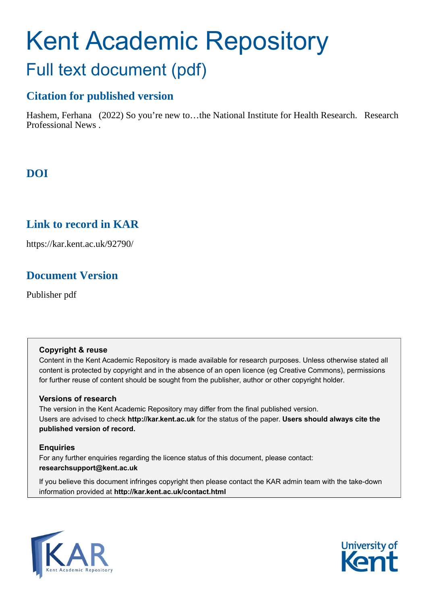# Kent Academic Repository Full text document (pdf)

## **Citation for published version**

Hashem, Ferhana (2022) So you're new to...the National Institute for Health Research. Research Professional News .

## **DOI**

## **Link to record in KAR**

https://kar.kent.ac.uk/92790/

## **Document Version**

Publisher pdf

#### **Copyright & reuse**

Content in the Kent Academic Repository is made available for research purposes. Unless otherwise stated all content is protected by copyright and in the absence of an open licence (eg Creative Commons), permissions for further reuse of content should be sought from the publisher, author or other copyright holder.

#### **Versions of research**

The version in the Kent Academic Repository may differ from the final published version. Users are advised to check **http://kar.kent.ac.uk** for the status of the paper. **Users should always cite the published version of record.**

#### **Enquiries**

For any further enquiries regarding the licence status of this document, please contact: **researchsupport@kent.ac.uk**

If you believe this document infringes copyright then please contact the KAR admin team with the take-down information provided at **http://kar.kent.ac.uk/contact.html**